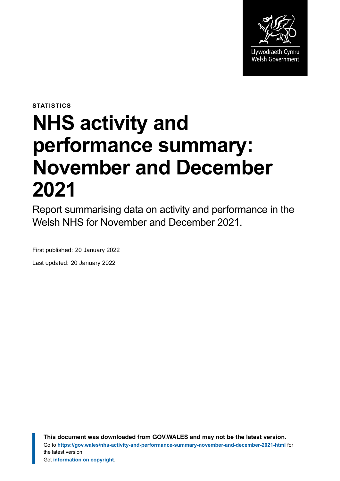

**STATISTICS**

# **NHS activity and performance summary: November and December 2021**

Report summarising data on activity and performance in the Welsh NHS for November and December 2021.

First published: 20 January 2022

Last updated: 20 January 2022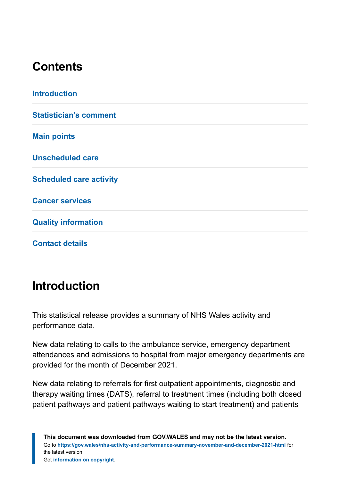# **Contents**

| <b>Introduction</b>            |  |
|--------------------------------|--|
| <b>Statistician's comment</b>  |  |
| <b>Main points</b>             |  |
| <b>Unscheduled care</b>        |  |
| <b>Scheduled care activity</b> |  |
| <b>Cancer services</b>         |  |
| <b>Quality information</b>     |  |
| <b>Contact details</b>         |  |

# <span id="page-1-0"></span>**Introduction**

This statistical release provides a summary of NHS Wales activity and performance data.

New data relating to calls to the ambulance service, emergency department attendances and admissions to hospital from major emergency departments are provided for the month of December 2021.

New data relating to referrals for first outpatient appointments, diagnostic and therapy waiting times (DATS), referral to treatment times (including both closed patient pathways and patient pathways waiting to start treatment) and patients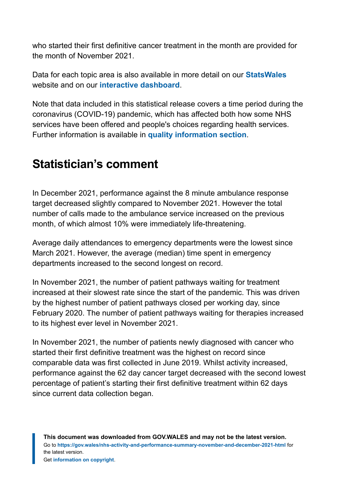who started their first definitive cancer treatment in the month are provided for the month of November 2021.

Data for each topic area is also available in more detail on our **[StatsWales](https://statswales.gov.wales/Catalogue/Health-and-Social-Care/NHS-Hospital-Waiting-Times/Accident-and-Emergency/accidentemergencyattendances-by-age-sex-site)** website and on our **[interactive dashboard](https://gov.wales/nhs-activity-and-performance-summary-dashboard)**.

Note that data included in this statistical release covers a time period during the coronavirus (COVID-19) pandemic, which has affected both how some NHS services have been offered and people's choices regarding health services. Further information is available in **[quality information section](#page-30-0)**.

# <span id="page-2-0"></span>**Statistician's comment**

In December 2021, performance against the 8 minute ambulance response target decreased slightly compared to November 2021. However the total number of calls made to the ambulance service increased on the previous month, of which almost 10% were immediately life-threatening.

Average daily attendances to emergency departments were the lowest since March 2021. However, the average (median) time spent in emergency departments increased to the second longest on record.

In November 2021, the number of patient pathways waiting for treatment increased at their slowest rate since the start of the pandemic. This was driven by the highest number of patient pathways closed per working day, since February 2020. The number of patient pathways waiting for therapies increased to its highest ever level in November 2021.

In November 2021, the number of patients newly diagnosed with cancer who started their first definitive treatment was the highest on record since comparable data was first collected in June 2019. Whilst activity increased, performance against the 62 day cancer target decreased with the second lowest percentage of patient's starting their first definitive treatment within 62 days since current data collection began.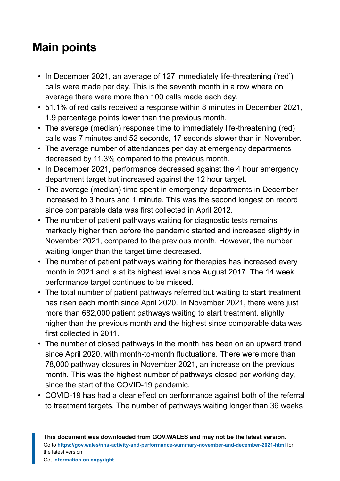# <span id="page-3-0"></span>**Main points**

- In December 2021, an average of 127 immediately life-threatening ('red') calls were made per day. This is the seventh month in a row where on average there were more than 100 calls made each day.
- 51.1% of red calls received a response within 8 minutes in December 2021, 1.9 percentage points lower than the previous month.
- The average (median) response time to immediately life-threatening (red) calls was 7 minutes and 52 seconds, 17 seconds slower than in November.
- The average number of attendances per day at emergency departments decreased by 11.3% compared to the previous month.
- In December 2021, performance decreased against the 4 hour emergency department target but increased against the 12 hour target.
- The average (median) time spent in emergency departments in December increased to 3 hours and 1 minute. This was the second longest on record since comparable data was first collected in April 2012.
- The number of patient pathways waiting for diagnostic tests remains markedly higher than before the pandemic started and increased slightly in November 2021, compared to the previous month. However, the number waiting longer than the target time decreased.
- The number of patient pathways waiting for therapies has increased every month in 2021 and is at its highest level since August 2017. The 14 week performance target continues to be missed.
- The total number of patient pathways referred but waiting to start treatment has risen each month since April 2020. In November 2021, there were just more than 682,000 patient pathways waiting to start treatment, slightly higher than the previous month and the highest since comparable data was first collected in 2011.
- The number of closed pathways in the month has been on an upward trend since April 2020, with month-to-month fluctuations. There were more than 78,000 pathway closures in November 2021, an increase on the previous month. This was the highest number of pathways closed per working day, since the start of the COVID-19 pandemic.
- COVID-19 has had a clear effect on performance against both of the referral to treatment targets. The number of pathways waiting longer than 36 weeks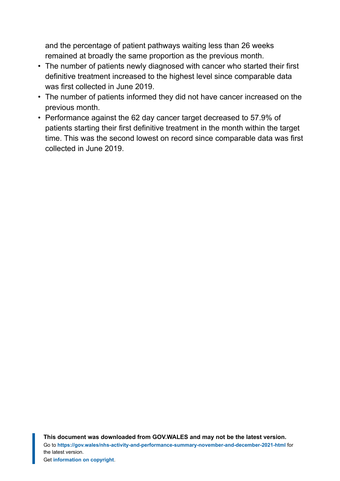and the percentage of patient pathways waiting less than 26 weeks remained at broadly the same proportion as the previous month.

- The number of patients newly diagnosed with cancer who started their first definitive treatment increased to the highest level since comparable data was first collected in June 2019.
- The number of patients informed they did not have cancer increased on the previous month.
- Performance against the 62 day cancer target decreased to 57.9% of patients starting their first definitive treatment in the month within the target time. This was the second lowest on record since comparable data was first collected in June 2019.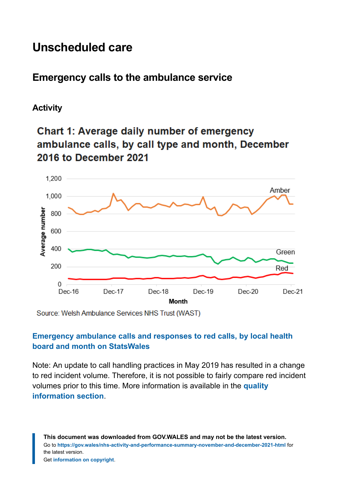# <span id="page-5-0"></span>**Unscheduled care**

# **Emergency calls to the ambulance service**

#### **Activity**

# **Chart 1: Average daily number of emergency** ambulance calls, by call type and month, December 2016 to December 2021



Source: Welsh Ambulance Services NHS Trust (WAST)

#### **[Emergency ambulance calls and responses to red calls, by local health](https://statswales.gov.wales/Catalogue/Health-and-Social-Care/NHS-Performance/Ambulance-Services/emergencyambulancecallsandresponsestoredcalls-by-lhb-month) [board and month on StatsWales](https://statswales.gov.wales/Catalogue/Health-and-Social-Care/NHS-Performance/Ambulance-Services/emergencyambulancecallsandresponsestoredcalls-by-lhb-month)**

Note: An update to call handling practices in May 2019 has resulted in a change to red incident volume. Therefore, it is not possible to fairly compare red incident volumes prior to this time. More information is available in the **[quality](#page-30-0) [information section](#page-30-0)**.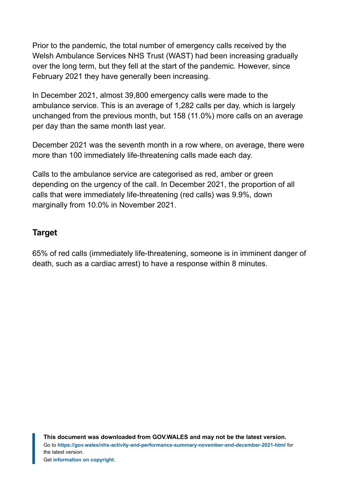Prior to the pandemic, the total number of emergency calls received by the Welsh Ambulance Services NHS Trust (WAST) had been increasing gradually over the long term, but they fell at the start of the pandemic. However, since February 2021 they have generally been increasing.

In December 2021, almost 39,800 emergency calls were made to the ambulance service. This is an average of 1,282 calls per day, which is largely unchanged from the previous month, but 158 (11.0%) more calls on an average per day than the same month last year.

December 2021 was the seventh month in a row where, on average, there were more than 100 immediately life-threatening calls made each day.

Calls to the ambulance service are categorised as red, amber or green depending on the urgency of the call. In December 2021, the proportion of all calls that were immediately life-threatening (red calls) was 9.9%, down marginally from 10.0% in November 2021.

#### **Target**

65% of red calls (immediately life-threatening, someone is in imminent danger of death, such as a cardiac arrest) to have a response within 8 minutes.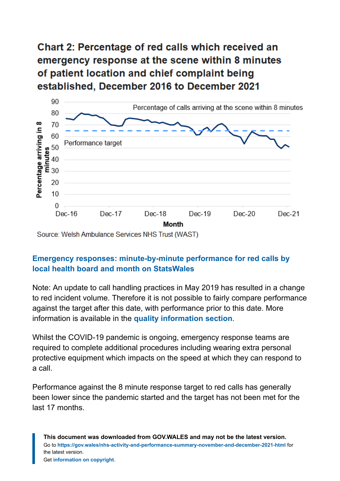# **Chart 2: Percentage of red calls which received an** emergency response at the scene within 8 minutes of patient location and chief complaint being established. December 2016 to December 2021



Source: Welsh Ambulance Services NHS Trust (WAST)

#### **[Emergency responses: minute-by-minute performance for red calls by](https://statswales.gov.wales/Catalogue/Health-and-Social-Care/NHS-Performance/Ambulance-Services/emergencyresponsesminutebyminuteperformanceredcalls-by-localhealthboard-month) [local health board and month on StatsWales](https://statswales.gov.wales/Catalogue/Health-and-Social-Care/NHS-Performance/Ambulance-Services/emergencyresponsesminutebyminuteperformanceredcalls-by-localhealthboard-month)**

Note: An update to call handling practices in May 2019 has resulted in a change to red incident volume. Therefore it is not possible to fairly compare performance against the target after this date, with performance prior to this date. More information is available in the **[quality information section](#page-30-0)**.

Whilst the COVID-19 pandemic is ongoing, emergency response teams are required to complete additional procedures including wearing extra personal protective equipment which impacts on the speed at which they can respond to a call.

Performance against the 8 minute response target to red calls has generally been lower since the pandemic started and the target has not been met for the last 17 months.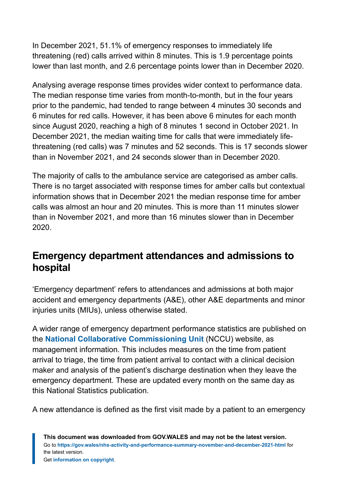In December 2021, 51.1% of emergency responses to immediately life threatening (red) calls arrived within 8 minutes. This is 1.9 percentage points lower than last month, and 2.6 percentage points lower than in December 2020.

Analysing average response times provides wider context to performance data. The median response time varies from month-to-month, but in the four years prior to the pandemic, had tended to range between 4 minutes 30 seconds and 6 minutes for red calls. However, it has been above 6 minutes for each month since August 2020, reaching a high of 8 minutes 1 second in October 2021. In December 2021, the median waiting time for calls that were immediately lifethreatening (red calls) was 7 minutes and 52 seconds. This is 17 seconds slower than in November 2021, and 24 seconds slower than in December 2020.

The majority of calls to the ambulance service are categorised as amber calls. There is no target associated with response times for amber calls but contextual information shows that in December 2021 the median response time for amber calls was almost an hour and 20 minutes. This is more than 11 minutes slower than in November 2021, and more than 16 minutes slower than in December 2020.

# **Emergency department attendances and admissions to hospital**

'Emergency department' refers to attendances and admissions at both major accident and emergency departments (A&E), other A&E departments and minor injuries units (MIUs), unless otherwise stated.

A wider range of emergency department performance statistics are published on the **[National Collaborative Commissioning Unit](https://nccu.nhs.wales/urgent-and-emergency-care/experimental-kpis/)** (NCCU) website, as management information. This includes measures on the time from patient arrival to triage, the time from patient arrival to contact with a clinical decision maker and analysis of the patient's discharge destination when they leave the emergency department. These are updated every month on the same day as this National Statistics publication.

A new attendance is defined as the first visit made by a patient to an emergency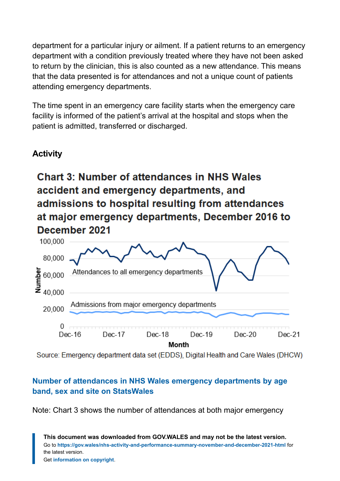department for a particular injury or ailment. If a patient returns to an emergency department with a condition previously treated where they have not been asked to return by the clinician, this is also counted as a new attendance. This means that the data presented is for attendances and not a unique count of patients attending emergency departments.

The time spent in an emergency care facility starts when the emergency care facility is informed of the patient's arrival at the hospital and stops when the patient is admitted, transferred or discharged.

#### **Activity**

# **Chart 3: Number of attendances in NHS Wales** accident and emergency departments, and admissions to hospital resulting from attendances at major emergency departments, December 2016 to December 2021



Source: Emergency department data set (EDDS), Digital Health and Care Wales (DHCW)

#### **[Number of attendances in NHS Wales emergency departments by age](https://statswales.gov.wales/Catalogue/Health-and-Social-Care/NHS-Hospital-Waiting-Times/Emergency-department/emergencydepartmentattendances-by-age-sex-site) [band, sex and site on StatsWales](https://statswales.gov.wales/Catalogue/Health-and-Social-Care/NHS-Hospital-Waiting-Times/Emergency-department/emergencydepartmentattendances-by-age-sex-site)**

Note: Chart 3 shows the number of attendances at both major emergency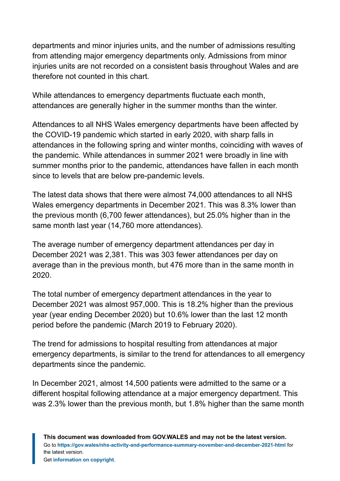departments and minor injuries units, and the number of admissions resulting from attending major emergency departments only. Admissions from minor injuries units are not recorded on a consistent basis throughout Wales and are therefore not counted in this chart.

While attendances to emergency departments fluctuate each month, attendances are generally higher in the summer months than the winter.

Attendances to all NHS Wales emergency departments have been affected by the COVID-19 pandemic which started in early 2020, with sharp falls in attendances in the following spring and winter months, coinciding with waves of the pandemic. While attendances in summer 2021 were broadly in line with summer months prior to the pandemic, attendances have fallen in each month since to levels that are below pre-pandemic levels.

The latest data shows that there were almost 74,000 attendances to all NHS Wales emergency departments in December 2021. This was 8.3% lower than the previous month (6,700 fewer attendances), but 25.0% higher than in the same month last year (14,760 more attendances).

The average number of emergency department attendances per day in December 2021 was 2,381. This was 303 fewer attendances per day on average than in the previous month, but 476 more than in the same month in 2020.

The total number of emergency department attendances in the year to December 2021 was almost 957,000. This is 18.2% higher than the previous year (year ending December 2020) but 10.6% lower than the last 12 month period before the pandemic (March 2019 to February 2020).

The trend for admissions to hospital resulting from attendances at major emergency departments, is similar to the trend for attendances to all emergency departments since the pandemic.

In December 2021, almost 14,500 patients were admitted to the same or a different hospital following attendance at a major emergency department. This was 2.3% lower than the previous month, but 1.8% higher than the same month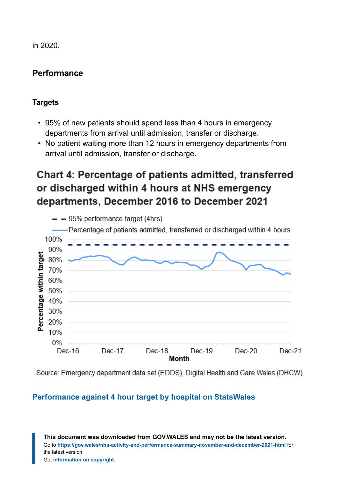in 2020.

#### **Performance**

#### **Targets**

- 95% of new patients should spend less than 4 hours in emergency departments from arrival until admission, transfer or discharge.
- No patient waiting more than 12 hours in emergency departments from arrival until admission, transfer or discharge.

# **Chart 4: Percentage of patients admitted, transferred** or discharged within 4 hours at NHS emergency departments, December 2016 to December 2021



Source: Emergency department data set (EDDS), Digital Health and Care Wales (DHCW)

#### **[Performance against 4 hour target by hospital on StatsWales](https://statswales.gov.wales/Catalogue/Health-and-Social-Care/NHS-Hospital-Waiting-Times/Emergency-department/performanceagainst4hourwaitingtimestarget-by-hospital)**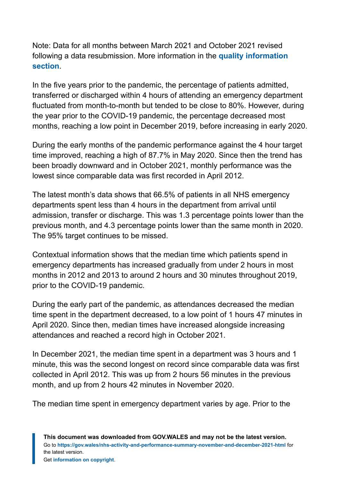Note: Data for all months between March 2021 and October 2021 revised following a data resubmission. More information in the **[quality information](#page-30-0) [section](#page-30-0)**.

In the five years prior to the pandemic, the percentage of patients admitted, transferred or discharged within 4 hours of attending an emergency department fluctuated from month-to-month but tended to be close to 80%. However, during the year prior to the COVID-19 pandemic, the percentage decreased most months, reaching a low point in December 2019, before increasing in early 2020.

During the early months of the pandemic performance against the 4 hour target time improved, reaching a high of 87.7% in May 2020. Since then the trend has been broadly downward and in October 2021, monthly performance was the lowest since comparable data was first recorded in April 2012.

The latest month's data shows that 66.5% of patients in all NHS emergency departments spent less than 4 hours in the department from arrival until admission, transfer or discharge. This was 1.3 percentage points lower than the previous month, and 4.3 percentage points lower than the same month in 2020. The 95% target continues to be missed.

Contextual information shows that the median time which patients spend in emergency departments has increased gradually from under 2 hours in most months in 2012 and 2013 to around 2 hours and 30 minutes throughout 2019, prior to the COVID-19 pandemic.

During the early part of the pandemic, as attendances decreased the median time spent in the department decreased, to a low point of 1 hours 47 minutes in April 2020. Since then, median times have increased alongside increasing attendances and reached a record high in October 2021.

In December 2021, the median time spent in a department was 3 hours and 1 minute, this was the second longest on record since comparable data was first collected in April 2012. This was up from 2 hours 56 minutes in the previous month, and up from 2 hours 42 minutes in November 2020.

The median time spent in emergency department varies by age. Prior to the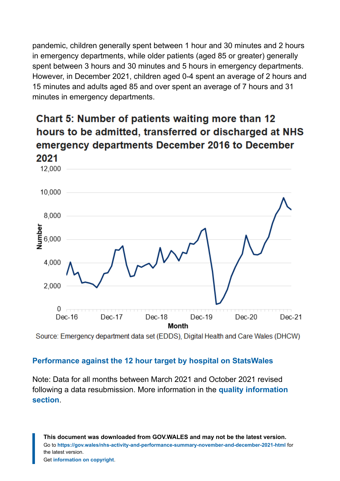pandemic, children generally spent between 1 hour and 30 minutes and 2 hours in emergency departments, while older patients (aged 85 or greater) generally spent between 3 hours and 30 minutes and 5 hours in emergency departments. However, in December 2021, children aged 0-4 spent an average of 2 hours and 15 minutes and adults aged 85 and over spent an average of 7 hours and 31 minutes in emergency departments.

# **Chart 5: Number of patients waiting more than 12** hours to be admitted, transferred or discharged at NHS emergency departments December 2016 to December 2021



Source: Emergency department data set (EDDS), Digital Health and Care Wales (DHCW)

#### **[Performance against the 12 hour target by hospital on StatsWales](https://statswales.gov.wales/Catalogue/Health-and-Social-Care/NHS-Hospital-Waiting-Times/Emergency-department/performanceagainst12hourwaitingtimestarget-by-hospital)**

Note: Data for all months between March 2021 and October 2021 revised following a data resubmission. More information in the **[quality information](#page-30-0) [section](#page-30-0)**.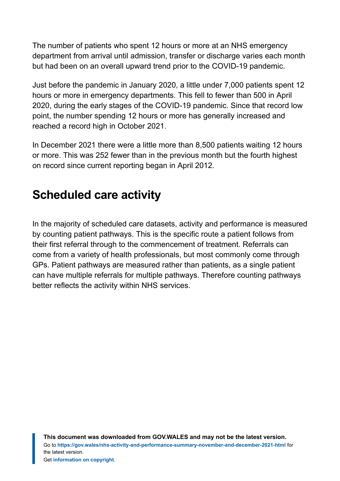The number of patients who spent 12 hours or more at an NHS emergency department from arrival until admission, transfer or discharge varies each month but had been on an overall upward trend prior to the COVID-19 pandemic.

Just before the pandemic in January 2020, a little under 7,000 patients spent 12 hours or more in emergency departments. This fell to fewer than 500 in April 2020, during the early stages of the COVID-19 pandemic. Since that record low point, the number spending 12 hours or more has generally increased and reached a record high in October 2021.

In December 2021 there were a little more than 8,500 patients waiting 12 hours or more. This was 252 fewer than in the previous month but the fourth highest on record since current reporting began in April 2012.

# <span id="page-14-0"></span>**Scheduled care activity**

In the majority of scheduled care datasets, activity and performance is measured by counting patient pathways. This is the specific route a patient follows from their first referral through to the commencement of treatment. Referrals can come from a variety of health professionals, but most commonly come through GPs. Patient pathways are measured rather than patients, as a single patient can have multiple referrals for multiple pathways. Therefore counting pathways better reflects the activity within NHS services.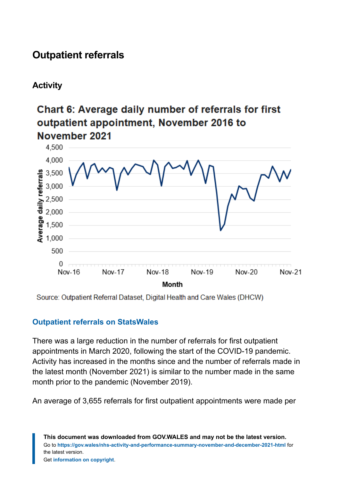# **Outpatient referrals**

### **Activity**

# Chart 6: Average daily number of referrals for first outpatient appointment, November 2016 to November 2021



Source: Outpatient Referral Dataset, Digital Health and Care Wales (DHCW)

#### **[Outpatient referrals on StatsWales](https://statswales.gov.wales/Catalogue/Health-and-Social-Care/NHS-Hospital-Activity/Referrals?_ga=2.232566559.1026223368.1639380526-1086771297.1619441781)**

There was a large reduction in the number of referrals for first outpatient appointments in March 2020, following the start of the COVID-19 pandemic. Activity has increased in the months since and the number of referrals made in the latest month (November 2021) is similar to the number made in the same month prior to the pandemic (November 2019).

An average of 3,655 referrals for first outpatient appointments were made per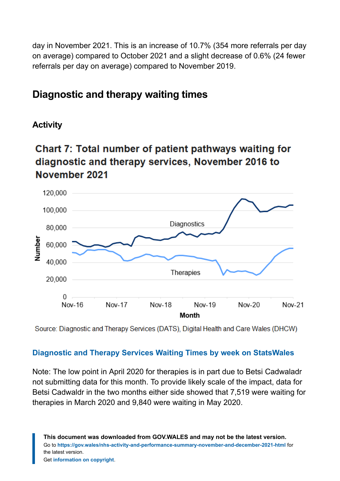day in November 2021. This is an increase of 10.7% (354 more referrals per day on average) compared to October 2021 and a slight decrease of 0.6% (24 fewer referrals per day on average) compared to November 2019.

### **Diagnostic and therapy waiting times**

#### **Activity**

# Chart 7: Total number of patient pathways waiting for diagnostic and therapy services, November 2016 to November 2021



Source: Diagnostic and Therapy Services (DATS), Digital Health and Care Wales (DHCW)

#### **[Diagnostic and Therapy Services Waiting Times by week on StatsWales](https://statswales.gov.wales/Catalogue/Health-and-Social-Care/NHS-Hospital-Waiting-Times/Diagnostic-and-Therapy-Services/waitingtimes-by-weekswait-hospital)**

Note: The low point in April 2020 for therapies is in part due to Betsi Cadwaladr not submitting data for this month. To provide likely scale of the impact, data for Betsi Cadwaldr in the two months either side showed that 7,519 were waiting for therapies in March 2020 and 9,840 were waiting in May 2020.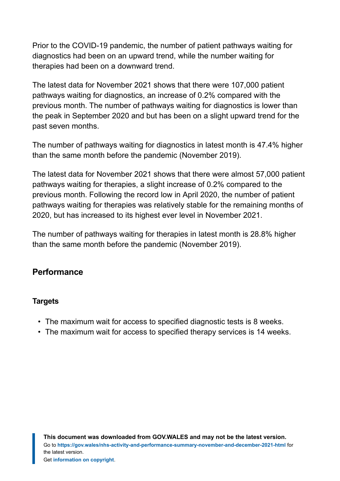Prior to the COVID-19 pandemic, the number of patient pathways waiting for diagnostics had been on an upward trend, while the number waiting for therapies had been on a downward trend.

The latest data for November 2021 shows that there were 107,000 patient pathways waiting for diagnostics, an increase of 0.2% compared with the previous month. The number of pathways waiting for diagnostics is lower than the peak in September 2020 and but has been on a slight upward trend for the past seven months.

The number of pathways waiting for diagnostics in latest month is 47.4% higher than the same month before the pandemic (November 2019).

The latest data for November 2021 shows that there were almost 57,000 patient pathways waiting for therapies, a slight increase of 0.2% compared to the previous month. Following the record low in April 2020, the number of patient pathways waiting for therapies was relatively stable for the remaining months of 2020, but has increased to its highest ever level in November 2021.

The number of pathways waiting for therapies in latest month is 28.8% higher than the same month before the pandemic (November 2019).

#### **Performance**

#### **Targets**

- The maximum wait for access to specified diagnostic tests is 8 weeks.
- The maximum wait for access to specified therapy services is 14 weeks.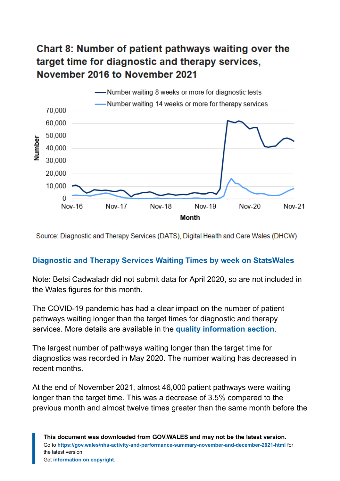# Chart 8: Number of patient pathways waiting over the target time for diagnostic and therapy services, November 2016 to November 2021



Source: Diagnostic and Therapy Services (DATS), Digital Health and Care Wales (DHCW)

#### **[Diagnostic and Therapy Services Waiting Times by week on StatsWales](https://statswales.gov.wales/Catalogue/Health-and-Social-Care/NHS-Hospital-Waiting-Times/Diagnostic-and-Therapy-Services/waitingtimes-by-weekswait-hospital)**

Note: Betsi Cadwaladr did not submit data for April 2020, so are not included in the Wales figures for this month.

The COVID-19 pandemic has had a clear impact on the number of patient pathways waiting longer than the target times for diagnostic and therapy services. More details are available in the **[quality information section](#page-30-0)**.

The largest number of pathways waiting longer than the target time for diagnostics was recorded in May 2020. The number waiting has decreased in recent months.

At the end of November 2021, almost 46,000 patient pathways were waiting longer than the target time. This was a decrease of 3.5% compared to the previous month and almost twelve times greater than the same month before the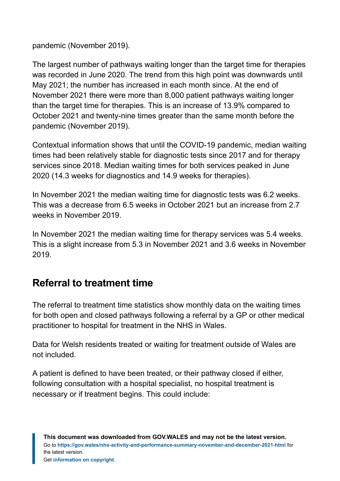pandemic (November 2019).

The largest number of pathways waiting longer than the target time for therapies was recorded in June 2020. The trend from this high point was downwards until May 2021; the number has increased in each month since. At the end of November 2021 there were more than 8,000 patient pathways waiting longer than the target time for therapies. This is an increase of 13.9% compared to October 2021 and twenty-nine times greater than the same month before the pandemic (November 2019).

Contextual information shows that until the COVID-19 pandemic, median waiting times had been relatively stable for diagnostic tests since 2017 and for therapy services since 2018. Median waiting times for both services peaked in June 2020 (14.3 weeks for diagnostics and 14.9 weeks for therapies).

In November 2021 the median waiting time for diagnostic tests was 6.2 weeks. This was a decrease from 6.5 weeks in October 2021 but an increase from 2.7 weeks in November 2019.

In November 2021 the median waiting time for therapy services was 5.4 weeks. This is a slight increase from 5.3 in November 2021 and 3.6 weeks in November 2019.

# **Referral to treatment time**

The referral to treatment time statistics show monthly data on the waiting times for both open and closed pathways following a referral by a GP or other medical practitioner to hospital for treatment in the NHS in Wales.

Data for Welsh residents treated or waiting for treatment outside of Wales are not included.

A patient is defined to have been treated, or their pathway closed if either, following consultation with a hospital specialist, no hospital treatment is necessary or if treatment begins. This could include: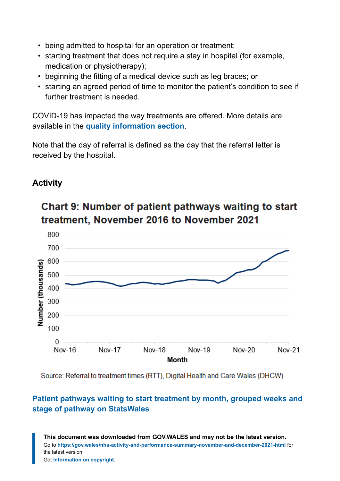- being admitted to hospital for an operation or treatment;
- starting treatment that does not require a stay in hospital (for example, medication or physiotherapy);
- beginning the fitting of a medical device such as leg braces; or
- starting an agreed period of time to monitor the patient's condition to see if further treatment is needed.

COVID-19 has impacted the way treatments are offered. More details are available in the **[quality information section](#page-30-0)**.

Note that the day of referral is defined as the day that the referral letter is received by the hospital.

#### **Activity**



# Chart 9: Number of patient pathways waiting to start treatment, November 2016 to November 2021

Source: Referral to treatment times (RTT), Digital Health and Care Wales (DHCW)

#### **[Patient pathways waiting to start treatment by month, grouped weeks and](https://statswales.gov.wales/Catalogue/Health-and-Social-Care/NHS-Hospital-Waiting-Times/Referral-to-Treatment/patientpathwayswaitingtostarttreatment-by-month-groupedweeks) [stage of pathway on StatsWales](https://statswales.gov.wales/Catalogue/Health-and-Social-Care/NHS-Hospital-Waiting-Times/Referral-to-Treatment/patientpathwayswaitingtostarttreatment-by-month-groupedweeks)**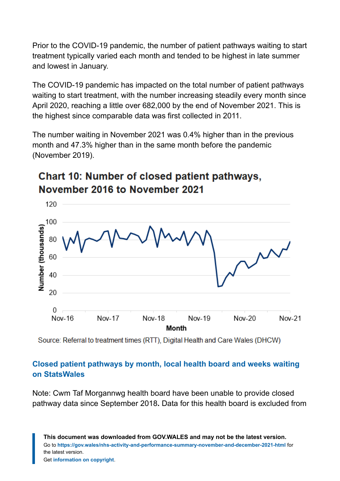Prior to the COVID-19 pandemic, the number of patient pathways waiting to start treatment typically varied each month and tended to be highest in late summer and lowest in January.

The COVID-19 pandemic has impacted on the total number of patient pathways waiting to start treatment, with the number increasing steadily every month since April 2020, reaching a little over 682,000 by the end of November 2021. This is the highest since comparable data was first collected in 2011.

The number waiting in November 2021 was 0.4% higher than in the previous month and 47.3% higher than in the same month before the pandemic (November 2019).

# **Chart 10: Number of closed patient pathways,** November 2016 to November 2021



Source: Referral to treatment times (RTT), Digital Health and Care Wales (DHCW)

#### **[Closed patient pathways by month, local health board and weeks waiting](https://statswales.gov.wales/Catalogue/Health-and-Social-Care/NHS-Hospital-Waiting-Times/Referral-to-Treatment/treatedpatients-by-month-localhealthboard-weekswaiting) [on StatsWales](https://statswales.gov.wales/Catalogue/Health-and-Social-Care/NHS-Hospital-Waiting-Times/Referral-to-Treatment/treatedpatients-by-month-localhealthboard-weekswaiting)**

Note: Cwm Taf Morgannwg health board have been unable to provide closed pathway data since September 2018**.** Data for this health board is excluded from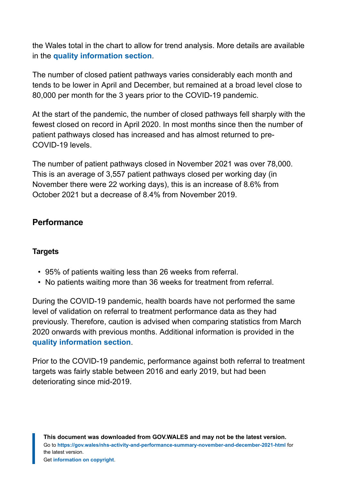the Wales total in the chart to allow for trend analysis. More details are available in the **[quality information section](#page-30-0)**.

The number of closed patient pathways varies considerably each month and tends to be lower in April and December, but remained at a broad level close to 80,000 per month for the 3 years prior to the COVID-19 pandemic.

At the start of the pandemic, the number of closed pathways fell sharply with the fewest closed on record in April 2020. In most months since then the number of patient pathways closed has increased and has almost returned to pre-COVID-19 levels.

The number of patient pathways closed in November 2021 was over 78,000. This is an average of 3,557 patient pathways closed per working day (in November there were 22 working days), this is an increase of 8.6% from October 2021 but a decrease of 8.4% from November 2019.

#### **Performance**

#### **Targets**

- 95% of patients waiting less than 26 weeks from referral.
- No patients waiting more than 36 weeks for treatment from referral.

During the COVID-19 pandemic, health boards have not performed the same level of validation on referral to treatment performance data as they had previously. Therefore, caution is advised when comparing statistics from March 2020 onwards with previous months. Additional information is provided in the **[quality information section](#page-30-0)**.

Prior to the COVID-19 pandemic, performance against both referral to treatment targets was fairly stable between 2016 and early 2019, but had been deteriorating since mid-2019.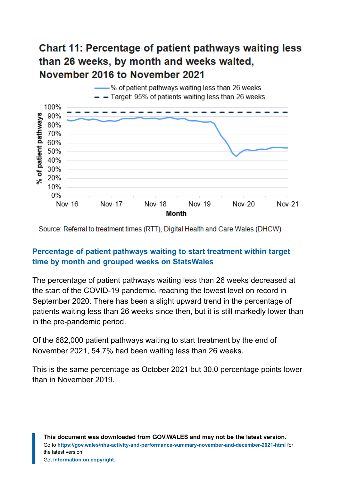# **Chart 11: Percentage of patient pathways waiting less** than 26 weeks, by month and weeks waited. November 2016 to November 2021



Source: Referral to treatment times (RTT), Digital Health and Care Wales (DHCW)

#### **[Percentage of patient pathways waiting to start treatment within target](https://statswales.gov.wales/Catalogue/Health-and-Social-Care/NHS-Hospital-Waiting-Times/Referral-to-Treatment/percentage-patientpathwayswaiting-month-grouped-weeks) [time by month and grouped weeks on StatsWales](https://statswales.gov.wales/Catalogue/Health-and-Social-Care/NHS-Hospital-Waiting-Times/Referral-to-Treatment/percentage-patientpathwayswaiting-month-grouped-weeks)**

The percentage of patient pathways waiting less than 26 weeks decreased at the start of the COVID-19 pandemic, reaching the lowest level on record in September 2020. There has been a slight upward trend in the percentage of patients waiting less than 26 weeks since then, but it is still markedly lower than in the pre-pandemic period.

Of the 682,000 patient pathways waiting to start treatment by the end of November 2021, 54.7% had been waiting less than 26 weeks.

This is the same percentage as October 2021 but 30.0 percentage points lower than in November 2019.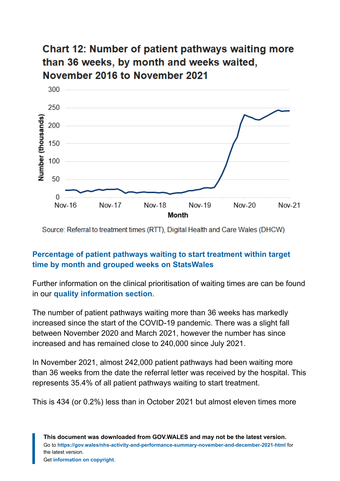# **Chart 12: Number of patient pathways waiting more** than 36 weeks, by month and weeks waited, November 2016 to November 2021



Source: Referral to treatment times (RTT), Digital Health and Care Wales (DHCW)

#### **[Percentage of patient pathways waiting to start treatment within target](https://statswales.gov.wales/Catalogue/Health-and-Social-Care/NHS-Hospital-Waiting-Times/Referral-to-Treatment/percentage-patientpathwayswaiting-month-grouped-weeks) [time by month and grouped weeks on StatsWales](https://statswales.gov.wales/Catalogue/Health-and-Social-Care/NHS-Hospital-Waiting-Times/Referral-to-Treatment/percentage-patientpathwayswaiting-month-grouped-weeks)**

Further information on the clinical prioritisation of waiting times are can be found in our **[quality information section](#page-30-0)**.

The number of patient pathways waiting more than 36 weeks has markedly increased since the start of the COVID-19 pandemic. There was a slight fall between November 2020 and March 2021, however the number has since increased and has remained close to 240,000 since July 2021.

In November 2021, almost 242,000 patient pathways had been waiting more than 36 weeks from the date the referral letter was received by the hospital. This represents 35.4% of all patient pathways waiting to start treatment.

This is 434 (or 0.2%) less than in October 2021 but almost eleven times more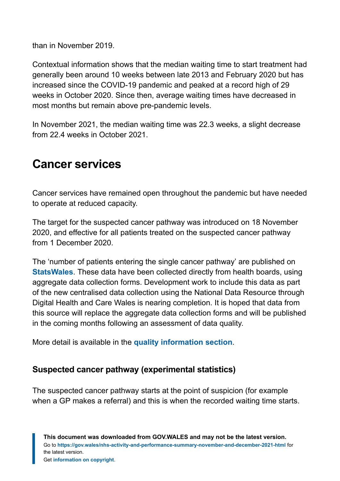than in November 2019.

Contextual information shows that the median waiting time to start treatment had generally been around 10 weeks between late 2013 and February 2020 but has increased since the COVID-19 pandemic and peaked at a record high of 29 weeks in October 2020. Since then, average waiting times have decreased in most months but remain above pre-pandemic levels.

In November 2021, the median waiting time was 22.3 weeks, a slight decrease from 22.4 weeks in October 2021.

# <span id="page-25-0"></span>**Cancer services**

Cancer services have remained open throughout the pandemic but have needed to operate at reduced capacity.

The target for the suspected cancer pathway was introduced on 18 November 2020, and effective for all patients treated on the suspected cancer pathway from 1 December 2020.

The 'number of patients entering the single cancer pathway' are published on **[StatsWales](https://statswales.gov.wales/Catalogue/Health-and-Social-Care/NHS-Hospital-Waiting-Times/Cancer-Waiting-Times/Monthly)**. These data have been collected directly from health boards, using aggregate data collection forms. Development work to include this data as part of the new centralised data collection using the National Data Resource through Digital Health and Care Wales is nearing completion. It is hoped that data from this source will replace the aggregate data collection forms and will be published in the coming months following an assessment of data quality.

More detail is available in the **[quality information section](#page-30-0)**.

#### **Suspected cancer pathway (experimental statistics)**

The suspected cancer pathway starts at the point of suspicion (for example when a GP makes a referral) and this is when the recorded waiting time starts.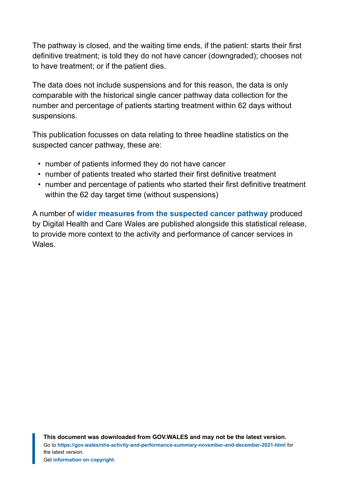The pathway is closed, and the waiting time ends, if the patient: starts their first definitive treatment; is told they do not have cancer (downgraded); chooses not to have treatment; or if the patient dies.

The data does not include suspensions and for this reason, the data is only comparable with the historical single cancer pathway data collection for the number and percentage of patients starting treatment within 62 days without suspensions.

This publication focusses on data relating to three headline statistics on the suspected cancer pathway, these are:

- number of patients informed they do not have cancer
- number of patients treated who started their first definitive treatment
- number and percentage of patients who started their first definitive treatment within the 62 day target time (without suspensions)

A number of **[wider measures from the suspected cancer pathway](https://gov.wales/suspected-cancer-pathway-waiting-times-interactive-dashboard)** produced by Digital Health and Care Wales are published alongside this statistical release, to provide more context to the activity and performance of cancer services in Wales.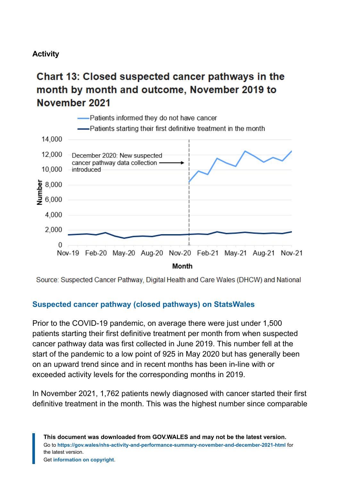#### **Activity**

# Chart 13: Closed suspected cancer pathways in the month by month and outcome, November 2019 to November 2021



Source: Suspected Cancer Pathway, Digital Health and Care Wales (DHCW) and National

#### **[Suspected cancer pathway \(closed pathways\) on StatsWales](https://statswales.gov.wales/Catalogue/Health-and-Social-Care/NHS-Hospital-Waiting-Times/Cancer-Waiting-Times/Monthly/)**

Prior to the COVID-19 pandemic, on average there were just under 1,500 patients starting their first definitive treatment per month from when suspected cancer pathway data was first collected in June 2019. This number fell at the start of the pandemic to a low point of 925 in May 2020 but has generally been on an upward trend since and in recent months has been in-line with or exceeded activity levels for the corresponding months in 2019.

In November 2021, 1,762 patients newly diagnosed with cancer started their first definitive treatment in the month. This was the highest number since comparable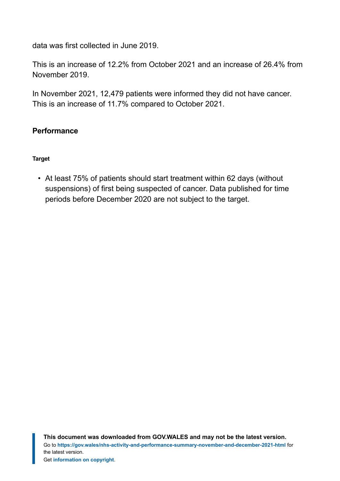data was first collected in June 2019.

This is an increase of 12.2% from October 2021 and an increase of 26.4% from November 2019.

In November 2021, 12,479 patients were informed they did not have cancer. This is an increase of 11.7% compared to October 2021.

#### **Performance**

#### **Target**

• At least 75% of patients should start treatment within 62 days (without suspensions) of first being suspected of cancer. Data published for time periods before December 2020 are not subject to the target.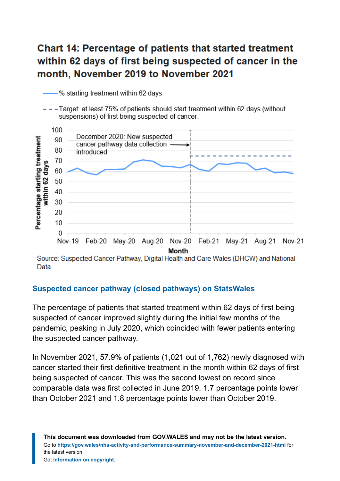# **Chart 14: Percentage of patients that started treatment** within 62 days of first being suspected of cancer in the month, November 2019 to November 2021

% starting treatment within 62 days

--Target: at least 75% of patients should start treatment within 62 days (without suspensions) of first being suspected of cancer.



Source: Suspected Cancer Pathway, Digital Health and Care Wales (DHCW) and National Data

#### **[Suspected cancer pathway \(closed pathways\) on StatsWales](https://statswales.gov.wales/Catalogue/Health-and-Social-Care/NHS-Hospital-Waiting-Times/Cancer-Waiting-Times/Monthly/)**

The percentage of patients that started treatment within 62 days of first being suspected of cancer improved slightly during the initial few months of the pandemic, peaking in July 2020, which coincided with fewer patients entering the suspected cancer pathway.

In November 2021, 57.9% of patients (1,021 out of 1,762) newly diagnosed with cancer started their first definitive treatment in the month within 62 days of first being suspected of cancer. This was the second lowest on record since comparable data was first collected in June 2019, 1.7 percentage points lower than October 2021 and 1.8 percentage points lower than October 2019.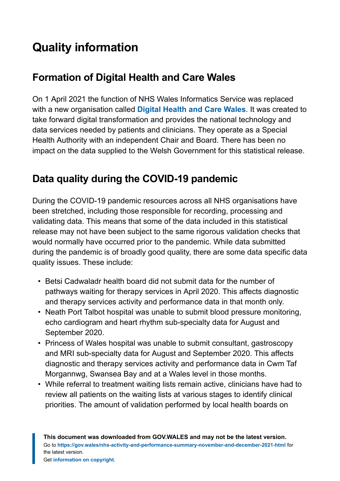# <span id="page-30-0"></span>**Quality information**

# **Formation of Digital Health and Care Wales**

On 1 April 2021 the function of NHS Wales Informatics Service was replaced with a new organisation called **[Digital Health and Care Wales](https://nwis.nhs.wales/news/latest-news/new-nhs-wales-organisation-for-digital-data-and-technology/)**. It was created to take forward digital transformation and provides the national technology and data services needed by patients and clinicians. They operate as a Special Health Authority with an independent Chair and Board. There has been no impact on the data supplied to the Welsh Government for this statistical release.

# **Data quality during the COVID-19 pandemic**

During the COVID-19 pandemic resources across all NHS organisations have been stretched, including those responsible for recording, processing and validating data. This means that some of the data included in this statistical release may not have been subject to the same rigorous validation checks that would normally have occurred prior to the pandemic. While data submitted during the pandemic is of broadly good quality, there are some data specific data quality issues. These include:

- Betsi Cadwaladr health board did not submit data for the number of pathways waiting for therapy services in April 2020. This affects diagnostic and therapy services activity and performance data in that month only.
- Neath Port Talbot hospital was unable to submit blood pressure monitoring, echo cardiogram and heart rhythm sub-specialty data for August and September 2020.
- Princess of Wales hospital was unable to submit consultant, gastroscopy and MRI sub-specialty data for August and September 2020. This affects diagnostic and therapy services activity and performance data in Cwm Taf Morgannwg, Swansea Bay and at a Wales level in those months.
- While referral to treatment waiting lists remain active, clinicians have had to review all patients on the waiting lists at various stages to identify clinical priorities. The amount of validation performed by local health boards on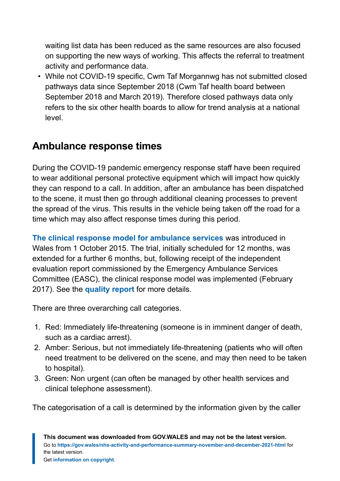waiting list data has been reduced as the same resources are also focused on supporting the new ways of working. This affects the referral to treatment activity and performance data.

• While not COVID-19 specific, Cwm Taf Morgannwg has not submitted closed pathways data since September 2018 (Cwm Taf health board between September 2018 and March 2019). Therefore closed pathways data only refers to the six other health boards to allow for trend analysis at a national level.

# **Ambulance response times**

During the COVID-19 pandemic emergency response staff have been required to wear additional personal protective equipment which will impact how quickly they can respond to a call. In addition, after an ambulance has been dispatched to the scene, it must then go through additional cleaning processes to prevent the spread of the virus. This results in the vehicle being taken off the road for a time which may also affect response times during this period.

**[The clinical response model](https://gov.wales/written-statement-clinical-review-ambulance-response-time-targets) for ambulance services** was introduced in Wales from 1 October 2015. The trial, initially scheduled for 12 months, was extended for a further 6 months, but, following receipt of the independent evaluation report commissioned by the Emergency Ambulance Services Committee (EASC), the clinical response model was implemented (February 2017). See the **[quality report](https://gov.wales/ambulance-services-quality-report)** for more details.

There are three overarching call categories.

- 1. Red: Immediately life-threatening (someone is in imminent danger of death, such as a cardiac arrest).
- 2. Amber: Serious, but not immediately life-threatening (patients who will often need treatment to be delivered on the scene, and may then need to be taken to hospital).
- 3. Green: Non urgent (can often be managed by other health services and clinical telephone assessment).

The categorisation of a call is determined by the information given by the caller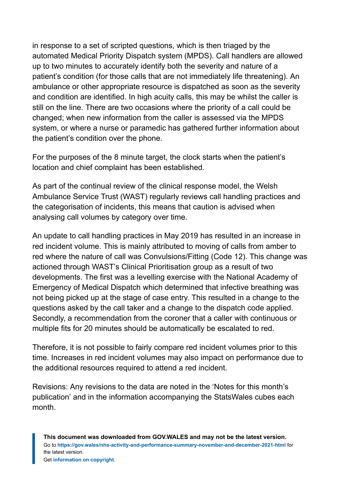in response to a set of scripted questions, which is then triaged by the automated Medical Priority Dispatch system (MPDS). Call handlers are allowed up to two minutes to accurately identify both the severity and nature of a patient's condition (for those calls that are not immediately life threatening). An ambulance or other appropriate resource is dispatched as soon as the severity and condition are identified. In high acuity calls, this may be whilst the caller is still on the line. There are two occasions where the priority of a call could be changed; when new information from the caller is assessed via the MPDS system, or where a nurse or paramedic has gathered further information about the patient's condition over the phone.

For the purposes of the 8 minute target, the clock starts when the patient's location and chief complaint has been established.

As part of the continual review of the clinical response model, the Welsh Ambulance Service Trust (WAST) regularly reviews call handling practices and the categorisation of incidents, this means that caution is advised when analysing call volumes by category over time.

An update to call handling practices in May 2019 has resulted in an increase in red incident volume. This is mainly attributed to moving of calls from amber to red where the nature of call was Convulsions/Fitting (Code 12). This change was actioned through WAST's Clinical Prioritisation group as a result of two developments. The first was a levelling exercise with the National Academy of Emergency of Medical Dispatch which determined that infective breathing was not being picked up at the stage of case entry. This resulted in a change to the questions asked by the call taker and a change to the dispatch code applied. Secondly, a recommendation from the coroner that a caller with continuous or multiple fits for 20 minutes should be automatically be escalated to red.

Therefore, it is not possible to fairly compare red incident volumes prior to this time. Increases in red incident volumes may also impact on performance due to the additional resources required to attend a red incident.

Revisions: Any revisions to the data are noted in the 'Notes for this month's publication' and in the information accompanying the StatsWales cubes each month.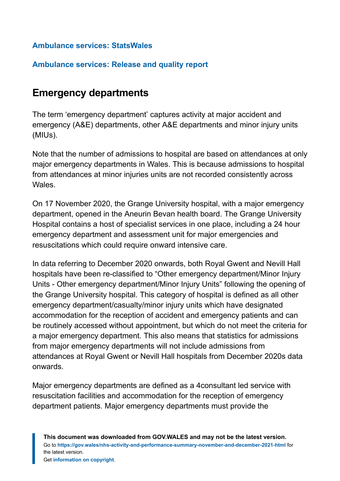#### **[Ambulance services: StatsWales](https://statswales.gov.wales/Catalogue/Health-and-Social-Care/NHS-Performance/Ambulance-Services)**

#### **[Ambulance services: Release and quality report](https://gov.wales/ambulance-services)**

### **Emergency departments**

The term 'emergency department' captures activity at major accident and emergency (A&E) departments, other A&E departments and minor injury units (MIUs).

Note that the number of admissions to hospital are based on attendances at only major emergency departments in Wales. This is because admissions to hospital from attendances at minor injuries units are not recorded consistently across Wales.

On 17 November 2020, the Grange University hospital, with a major emergency department, opened in the Aneurin Bevan health board. The Grange University Hospital contains a host of specialist services in one place, including a 24 hour emergency department and assessment unit for major emergencies and resuscitations which could require onward intensive care.

In data referring to December 2020 onwards, both Royal Gwent and Nevill Hall hospitals have been re-classified to "Other emergency department/Minor Injury Units - Other emergency department/Minor Injury Units" following the opening of the Grange University hospital. This category of hospital is defined as all other emergency department/casualty/minor injury units which have designated accommodation for the reception of accident and emergency patients and can be routinely accessed without appointment, but which do not meet the criteria for a major emergency department. This also means that statistics for admissions from major emergency departments will not include admissions from attendances at Royal Gwent or Nevill Hall hospitals from December 2020s data onwards.

Major emergency departments are defined as a 4consultant led service with resuscitation facilities and accommodation for the reception of emergency department patients. Major emergency departments must provide the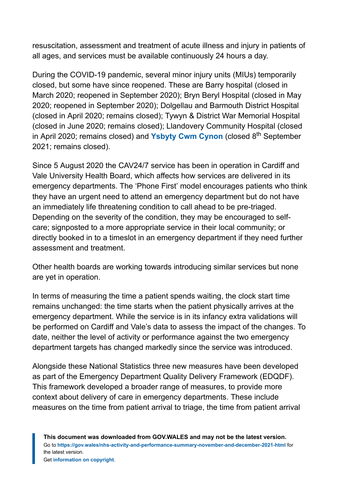resuscitation, assessment and treatment of acute illness and injury in patients of all ages, and services must be available continuously 24 hours a day.

During the COVID-19 pandemic, several minor injury units (MIUs) temporarily closed, but some have since reopened. These are Barry hospital (closed in March 2020; reopened in September 2020); Bryn Beryl Hospital (closed in May 2020; reopened in September 2020); Dolgellau and Barmouth District Hospital (closed in April 2020; remains closed); Tywyn & District War Memorial Hospital (closed in June 2020; remains closed); Llandovery Community Hospital (closed in April 2020; remains closed) and [Ysbyty Cwm Cynon](https://111.wales.nhs.uk/LocalServices/ViewLocalService.aspx?id=7715) (closed 8<sup>th</sup> September 2021; remains closed).

Since 5 August 2020 the CAV24/7 service has been in operation in Cardiff and Vale University Health Board, which affects how services are delivered in its emergency departments. The 'Phone First' model encourages patients who think they have an urgent need to attend an emergency department but do not have an immediately life threatening condition to call ahead to be pre-triaged. Depending on the severity of the condition, they may be encouraged to selfcare; signposted to a more appropriate service in their local community; or directly booked in to a timeslot in an emergency department if they need further assessment and treatment.

Other health boards are working towards introducing similar services but none are yet in operation.

In terms of measuring the time a patient spends waiting, the clock start time remains unchanged: the time starts when the patient physically arrives at the emergency department. While the service is in its infancy extra validations will be performed on Cardiff and Vale's data to assess the impact of the changes. To date, neither the level of activity or performance against the two emergency department targets has changed markedly since the service was introduced.

Alongside these National Statistics three new measures have been developed as part of the Emergency Department Quality Delivery Framework (EDQDF). This framework developed a broader range of measures, to provide more context about delivery of care in emergency departments. These include measures on the time from patient arrival to triage, the time from patient arrival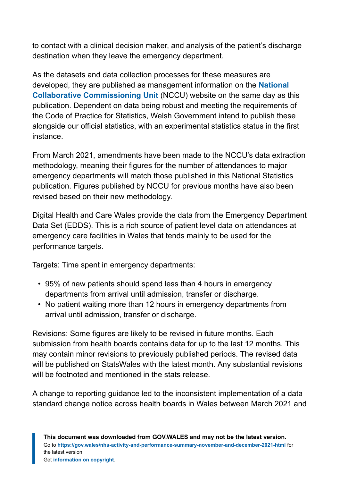to contact with a clinical decision maker, and analysis of the patient's discharge destination when they leave the emergency department.

As the datasets and data collection processes for these measures are developed, they are published as management information on the **[National](https://nccu.nhs.wales/urgent-and-emergency-care/experimental-kpis/) [Collaborative Commissioning Unit](https://nccu.nhs.wales/urgent-and-emergency-care/experimental-kpis/)** (NCCU) website on the same day as this publication. Dependent on data being robust and meeting the requirements of the Code of Practice for Statistics, Welsh Government intend to publish these alongside our official statistics, with an experimental statistics status in the first instance.

From March 2021, amendments have been made to the NCCU's data extraction methodology, meaning their figures for the number of attendances to major emergency departments will match those published in this National Statistics publication. Figures published by NCCU for previous months have also been revised based on their new methodology.

Digital Health and Care Wales provide the data from the Emergency Department Data Set (EDDS). This is a rich source of patient level data on attendances at emergency care facilities in Wales that tends mainly to be used for the performance targets.

Targets: Time spent in emergency departments:

- 95% of new patients should spend less than 4 hours in emergency departments from arrival until admission, transfer or discharge.
- No patient waiting more than 12 hours in emergency departments from arrival until admission, transfer or discharge.

Revisions: Some figures are likely to be revised in future months. Each submission from health boards contains data for up to the last 12 months. This may contain minor revisions to previously published periods. The revised data will be published on StatsWales with the latest month. Any substantial revisions will be footnoted and mentioned in the stats release.

A change to reporting guidance led to the inconsistent implementation of a data standard change notice across health boards in Wales between March 2021 and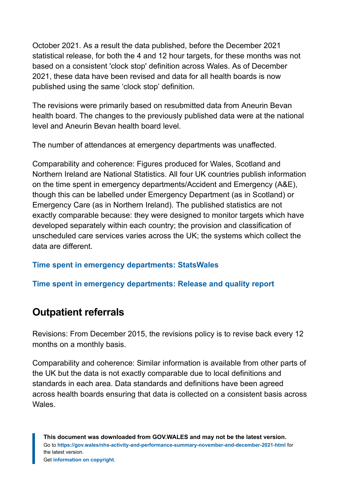October 2021. As a result the data published, before the December 2021 statistical release, for both the 4 and 12 hour targets, for these months was not based on a consistent 'clock stop' definition across Wales. As of December 2021, these data have been revised and data for all health boards is now published using the same 'clock stop' definition.

The revisions were primarily based on resubmitted data from Aneurin Bevan health board. The changes to the previously published data were at the national level and Aneurin Bevan health board level.

The number of attendances at emergency departments was unaffected.

Comparability and coherence: Figures produced for Wales, Scotland and Northern Ireland are National Statistics. All four UK countries publish information on the time spent in emergency departments/Accident and Emergency (A&E), though this can be labelled under Emergency Department (as in Scotland) or Emergency Care (as in Northern Ireland). The published statistics are not exactly comparable because: they were designed to monitor targets which have developed separately within each country; the provision and classification of unscheduled care services varies across the UK; the systems which collect the data are different.

#### **[Time spent in emergency departments: StatsWales](https://statswales.gov.wales/Catalogue/Health-and-Social-Care/NHS-Hospital-Waiting-Times/Emergency-Department)**

#### **[Time spent in emergency departments: Release and quality report](https://gov.wales/time-spent-nhs-emergency-departments)**

### **Outpatient referrals**

Revisions: From December 2015, the revisions policy is to revise back every 12 months on a monthly basis.

Comparability and coherence: Similar information is available from other parts of the UK but the data is not exactly comparable due to local definitions and standards in each area. Data standards and definitions have been agreed across health boards ensuring that data is collected on a consistent basis across Wales.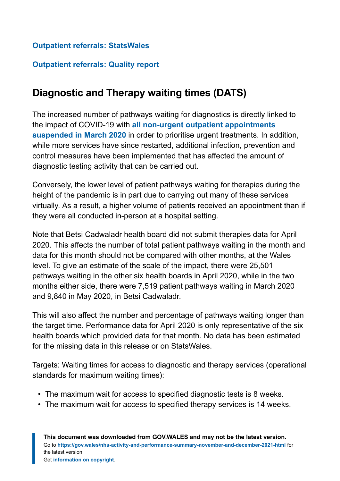#### **[Outpatient referrals: StatsWales](https://statswales.gov.wales/Catalogue/Health-and-Social-Care/NHS-Hospital-Activity/Referrals)**

#### **[Outpatient referrals: Quality report](https://gov.wales/nhs-referrals-first-outpatient-appointments-quality-report)**

# **Diagnostic and Therapy waiting times (DATS)**

The increased number of pathways waiting for diagnostics is directly linked to the impact of COVID-19 with **[all non-urgent outpatient appointments](https://gov.wales/written-statement-coronavirus-covid-19-2) [suspended in March](https://gov.wales/written-statement-coronavirus-covid-19-2) 2020** in order to prioritise urgent treatments. In addition, while more services have since restarted, additional infection, prevention and control measures have been implemented that has affected the amount of diagnostic testing activity that can be carried out.

Conversely, the lower level of patient pathways waiting for therapies during the height of the pandemic is in part due to carrying out many of these services virtually. As a result, a higher volume of patients received an appointment than if they were all conducted in-person at a hospital setting.

Note that Betsi Cadwaladr health board did not submit therapies data for April 2020. This affects the number of total patient pathways waiting in the month and data for this month should not be compared with other months, at the Wales level. To give an estimate of the scale of the impact, there were 25,501 pathways waiting in the other six health boards in April 2020, while in the two months either side, there were 7,519 patient pathways waiting in March 2020 and 9,840 in May 2020, in Betsi Cadwaladr.

This will also affect the number and percentage of pathways waiting longer than the target time. Performance data for April 2020 is only representative of the six health boards which provided data for that month. No data has been estimated for the missing data in this release or on StatsWales.

Targets: Waiting times for access to diagnostic and therapy services (operational standards for maximum waiting times):

- The maximum wait for access to specified diagnostic tests is 8 weeks.
- The maximum wait for access to specified therapy services is 14 weeks.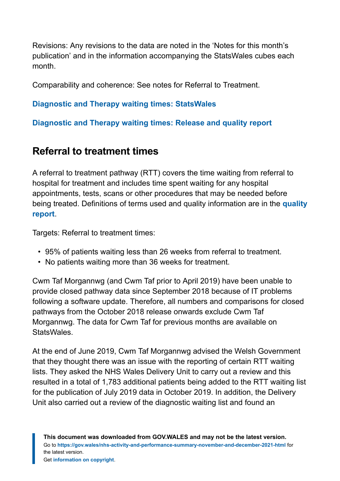Revisions: Any revisions to the data are noted in the 'Notes for this month's publication' and in the information accompanying the StatsWales cubes each month.

Comparability and coherence: See notes for Referral to Treatment.

#### **[Diagnostic and Therapy waiting times: StatsWales](https://statswales.gov.wales/Catalogue/Health-and-Social-Care/NHS-Hospital-Waiting-Times/Diagnostic-and-Therapy-Services)**

**[Diagnostic and Therapy waiting times: Release and quality report](https://gov.wales/nhs-diagnostic-and-therapy-service-waiting-times)**

### **Referral to treatment times**

A referral to treatment pathway (RTT) covers the time waiting from referral to hospital for treatment and includes time spent waiting for any hospital appointments, tests, scans or other procedures that may be needed before being treated. Definitions of terms used and quality information are in the **[quality](https://gov.wales/referral-treatment-times-quality-report) [report](https://gov.wales/referral-treatment-times-quality-report)**.

Targets: Referral to treatment times:

- 95% of patients waiting less than 26 weeks from referral to treatment.
- No patients waiting more than 36 weeks for treatment.

Cwm Taf Morgannwg (and Cwm Taf prior to April 2019) have been unable to provide closed pathway data since September 2018 because of IT problems following a software update. Therefore, all numbers and comparisons for closed pathways from the October 2018 release onwards exclude Cwm Taf Morgannwg. The data for Cwm Taf for previous months are available on **StatsWales** 

At the end of June 2019, Cwm Taf Morgannwg advised the Welsh Government that they thought there was an issue with the reporting of certain RTT waiting lists. They asked the NHS Wales Delivery Unit to carry out a review and this resulted in a total of 1,783 additional patients being added to the RTT waiting list for the publication of July 2019 data in October 2019. In addition, the Delivery Unit also carried out a review of the diagnostic waiting list and found an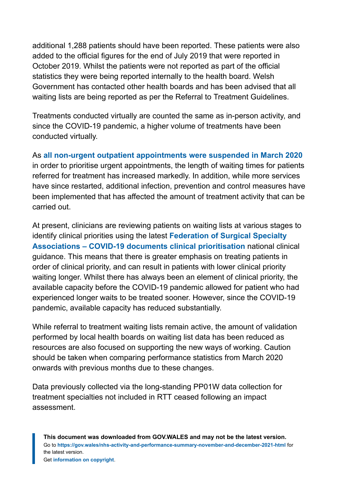additional 1,288 patients should have been reported. These patients were also added to the official figures for the end of July 2019 that were reported in October 2019. Whilst the patients were not reported as part of the official statistics they were being reported internally to the health board. Welsh Government has contacted other health boards and has been advised that all waiting lists are being reported as per the Referral to Treatment Guidelines.

Treatments conducted virtually are counted the same as in-person activity, and since the COVID-19 pandemic, a higher volume of treatments have been conducted virtually.

As **[all non-urgent outpatient appointments were suspended in March 2020](https://gov.wales/written-statement-coronavirus-covid-19-2)** in order to prioritise urgent appointments, the length of waiting times for patients referred for treatment has increased markedly. In addition, while more services have since restarted, additional infection, prevention and control measures have been implemented that has affected the amount of treatment activity that can be carried out.

At present, clinicians are reviewing patients on waiting lists at various stages to identify clinical priorities using the latest **[Federation of Surgical Specialty](https://fssa.org.uk/_userfiles/pages/files/covid19/prioritisation_master_30_april_21.pdf) [Associations – COVID-19 documents clinical prioritisation](https://fssa.org.uk/_userfiles/pages/files/covid19/prioritisation_master_30_april_21.pdf)** national clinical guidance. This means that there is greater emphasis on treating patients in order of clinical priority, and can result in patients with lower clinical priority waiting longer. Whilst there has always been an element of clinical priority, the available capacity before the COVID-19 pandemic allowed for patient who had experienced longer waits to be treated sooner. However, since the COVID-19 pandemic, available capacity has reduced substantially.

While referral to treatment waiting lists remain active, the amount of validation performed by local health boards on waiting list data has been reduced as resources are also focused on supporting the new ways of working. Caution should be taken when comparing performance statistics from March 2020 onwards with previous months due to these changes.

Data previously collected via the long-standing PP01W data collection for treatment specialties not included in RTT ceased following an impact assessment.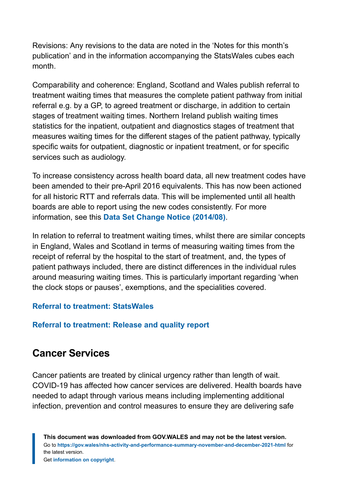Revisions: Any revisions to the data are noted in the 'Notes for this month's publication' and in the information accompanying the StatsWales cubes each month.

Comparability and coherence: England, Scotland and Wales publish referral to treatment waiting times that measures the complete patient pathway from initial referral e.g. by a GP, to agreed treatment or discharge, in addition to certain stages of treatment waiting times. Northern Ireland publish waiting times statistics for the inpatient, outpatient and diagnostics stages of treatment that measures waiting times for the different stages of the patient pathway, typically specific waits for outpatient, diagnostic or inpatient treatment, or for specific services such as audiology.

To increase consistency across health board data, all new treatment codes have been amended to their pre-April 2016 equivalents. This has now been actioned for all historic RTT and referrals data. This will be implemented until all health boards are able to report using the new codes consistently. For more information, see this **[Data Set Change Notice \(2014/08\)](http://www.datadictionary.wales.nhs.uk/#!WordDocuments/treatmentfunctioncode.htm)**.

In relation to referral to treatment waiting times, whilst there are similar concepts in England, Wales and Scotland in terms of measuring waiting times from the receipt of referral by the hospital to the start of treatment, and, the types of patient pathways included, there are distinct differences in the individual rules around measuring waiting times. This is particularly important regarding 'when the clock stops or pauses', exemptions, and the specialities covered.

#### **[Referral to treatment: StatsWales](https://statswales.gov.wales/Catalogue/Health-and-Social-Care/NHS-Hospital-Waiting-Times/Referral-to-Treatment)**

#### **[Referral to treatment: Release and quality report](https://gov.wales/referral-treatment-times)**

### **Cancer Services**

Cancer patients are treated by clinical urgency rather than length of wait. COVID-19 has affected how cancer services are delivered. Health boards have needed to adapt through various means including implementing additional infection, prevention and control measures to ensure they are delivering safe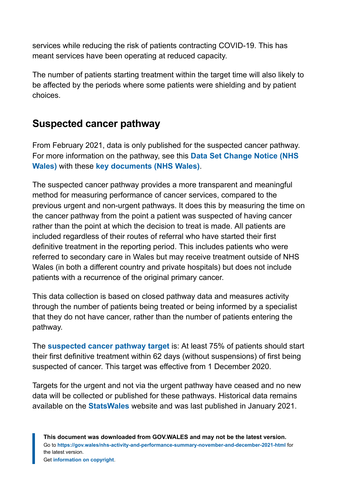services while reducing the risk of patients contracting COVID-19. This has meant services have been operating at reduced capacity.

The number of patients starting treatment within the target time will also likely to be affected by the periods where some patients were shielding and by patient choices.

### **Suspected cancer pathway**

From February 2021, data is only published for the suspected cancer pathway. For more information on the pathway, see this **[Data Set Change Notice \(NHS](http://www.nwisinformationstandards.wales.nhs.uk/sitesplus/documents/299/20190108-DSCN%202019%2001-Single%20Cancer%20Pathway-v1-0.pdf) [Wales\)](http://www.nwisinformationstandards.wales.nhs.uk/sitesplus/documents/299/20190108-DSCN%202019%2001-Single%20Cancer%20Pathway-v1-0.pdf)** with these **[key documents \(NHS Wales\)](http://www.walescanet.wales.nhs.uk/scp-key-documents)**.

The suspected cancer pathway provides a more transparent and meaningful method for measuring performance of cancer services, compared to the previous urgent and non-urgent pathways. It does this by measuring the time on the cancer pathway from the point a patient was suspected of having cancer rather than the point at which the decision to treat is made. All patients are included regardless of their routes of referral who have started their first definitive treatment in the reporting period. This includes patients who were referred to secondary care in Wales but may receive treatment outside of NHS Wales (in both a different country and private hospitals) but does not include patients with a recurrence of the original primary cancer.

This data collection is based on closed pathway data and measures activity through the number of patients being treated or being informed by a specialist that they do not have cancer, rather than the number of patients entering the pathway.

The **[suspected cancer pathway target](https://gov.wales/written-statement-progress-single-cancer-pathway)** is: At least 75% of patients should start their first definitive treatment within 62 days (without suspensions) of first being suspected of cancer. This target was effective from 1 December 2020.

Targets for the urgent and not via the urgent pathway have ceased and no new data will be collected or published for these pathways. Historical data remains available on the **[StatsWales](https://statswales.gov.wales/Catalogue/Health-and-Social-Care/NHS-Hospital-Waiting-Times/Cancer-Waiting-Times/Monthly/pre-February-2021)** website and was last published in January 2021.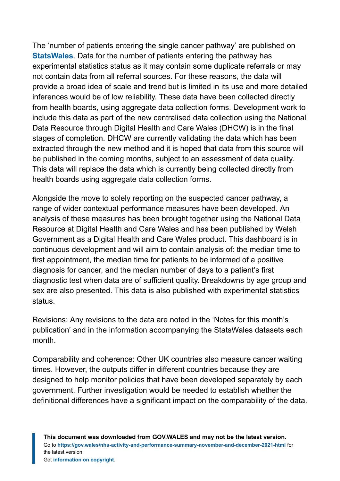The 'number of patients entering the single cancer pathway' are published on **[StatsWales](https://statswales.gov.wales/Catalogue/Health-and-Social-Care/NHS-Hospital-Waiting-Times/Cancer-Waiting-Times/Monthly)**. Data for the number of patients entering the pathway has experimental statistics status as it may contain some duplicate referrals or may not contain data from all referral sources. For these reasons, the data will provide a broad idea of scale and trend but is limited in its use and more detailed inferences would be of low reliability. These data have been collected directly from health boards, using aggregate data collection forms. Development work to include this data as part of the new centralised data collection using the National Data Resource through Digital Health and Care Wales (DHCW) is in the final stages of completion. DHCW are currently validating the data which has been extracted through the new method and it is hoped that data from this source will be published in the coming months, subject to an assessment of data quality. This data will replace the data which is currently being collected directly from health boards using aggregate data collection forms.

Alongside the move to solely reporting on the suspected cancer pathway, a range of wider contextual performance measures have been developed. An analysis of these measures has been brought together using the National Data Resource at Digital Health and Care Wales and has been published by Welsh Government as a Digital Health and Care Wales product. This dashboard is in continuous development and will aim to contain analysis of: the median time to first appointment, the median time for patients to be informed of a positive diagnosis for cancer, and the median number of days to a patient's first diagnostic test when data are of sufficient quality. Breakdowns by age group and sex are also presented. This data is also published with experimental statistics status.

Revisions: Any revisions to the data are noted in the 'Notes for this month's publication' and in the information accompanying the StatsWales datasets each month.

Comparability and coherence: Other UK countries also measure cancer waiting times. However, the outputs differ in different countries because they are designed to help monitor policies that have been developed separately by each government. Further investigation would be needed to establish whether the definitional differences have a significant impact on the comparability of the data.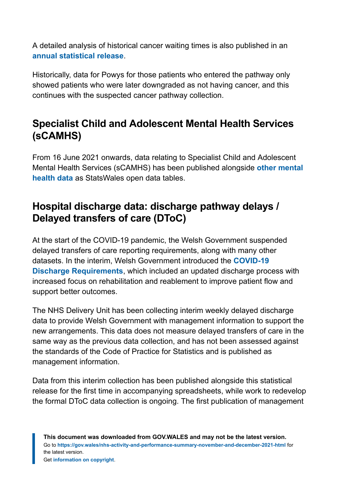A detailed analysis of historical cancer waiting times is also published in an **[annual statistical release](https://gov.wales/nhs-cancer-waiting-times)**.

Historically, data for Powys for those patients who entered the pathway only showed patients who were later downgraded as not having cancer, and this continues with the suspected cancer pathway collection.

## **Specialist Child and Adolescent Mental Health Services (sCAMHS)**

From 16 June 2021 onwards, data relating to Specialist Child and Adolescent Mental Health Services (sCAMHS) has been published alongside **[other mental](https://statswales.gov.wales/Catalogue/Health-and-Social-Care/Mental-Health) [health data](https://statswales.gov.wales/Catalogue/Health-and-Social-Care/Mental-Health)** as StatsWales open data tables.

# **Hospital discharge data: discharge pathway delays / Delayed transfers of care (DToC)**

At the start of the COVID-19 pandemic, the Welsh Government suspended delayed transfers of care reporting requirements, along with many other datasets. In the interim, Welsh Government introduced the **[COVID-19](https://gov.wales/hospital-discharge-service-requirements-covid-19) [Discharge Requirements](https://gov.wales/hospital-discharge-service-requirements-covid-19)**, which included an updated discharge process with increased focus on rehabilitation and reablement to improve patient flow and support better outcomes.

The NHS Delivery Unit has been collecting interim weekly delayed discharge data to provide Welsh Government with management information to support the new arrangements. This data does not measure delayed transfers of care in the same way as the previous data collection, and has not been assessed against the standards of the Code of Practice for Statistics and is published as management information.

Data from this interim collection has been published alongside this statistical release for the first time in accompanying spreadsheets, while work to redevelop the formal DToC data collection is ongoing. The first publication of management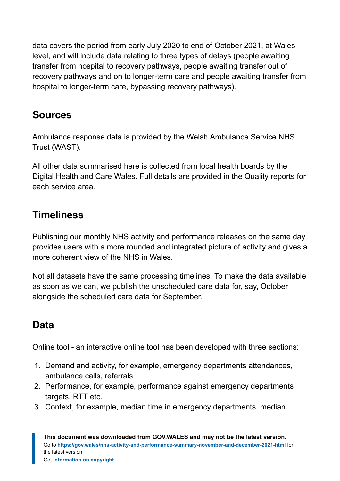data covers the period from early July 2020 to end of October 2021, at Wales level, and will include data relating to three types of delays (people awaiting transfer from hospital to recovery pathways, people awaiting transfer out of recovery pathways and on to longer-term care and people awaiting transfer from hospital to longer-term care, bypassing recovery pathways).

# **Sources**

Ambulance response data is provided by the Welsh Ambulance Service NHS Trust (WAST).

All other data summarised here is collected from local health boards by the Digital Health and Care Wales. Full details are provided in the Quality reports for each service area.

# **Timeliness**

Publishing our monthly NHS activity and performance releases on the same day provides users with a more rounded and integrated picture of activity and gives a more coherent view of the NHS in Wales.

Not all datasets have the same processing timelines. To make the data available as soon as we can, we publish the unscheduled care data for, say, October alongside the scheduled care data for September.

# **Data**

Online tool - an interactive online tool has been developed with three sections:

- 1. Demand and activity, for example, emergency departments attendances, ambulance calls, referrals
- 2. Performance, for example, performance against emergency departments targets, RTT etc.
- 3. Context, for example, median time in emergency departments, median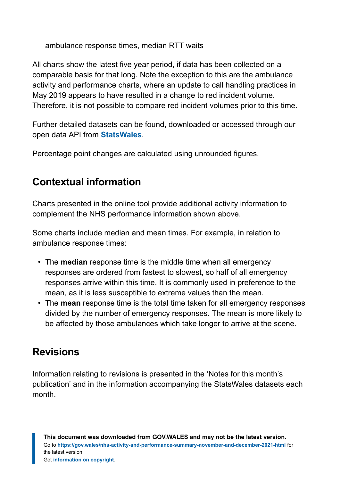ambulance response times, median RTT waits

All charts show the latest five year period, if data has been collected on a comparable basis for that long. Note the exception to this are the ambulance activity and performance charts, where an update to call handling practices in May 2019 appears to have resulted in a change to red incident volume. Therefore, it is not possible to compare red incident volumes prior to this time.

Further detailed datasets can be found, downloaded or accessed through our open data API from **[StatsWales](https://statswales.gov.wales/Catalogue/Health-and-Social-Care)**.

Percentage point changes are calculated using unrounded figures.

# **Contextual information**

Charts presented in the online tool provide additional activity information to complement the NHS performance information shown above.

Some charts include median and mean times. For example, in relation to ambulance response times:

- The **median** response time is the middle time when all emergency responses are ordered from fastest to slowest, so half of all emergency responses arrive within this time. It is commonly used in preference to the mean, as it is less susceptible to extreme values than the mean.
- The **mean** response time is the total time taken for all emergency responses divided by the number of emergency responses. The mean is more likely to be affected by those ambulances which take longer to arrive at the scene.

# **Revisions**

Information relating to revisions is presented in the 'Notes for this month's publication' and in the information accompanying the StatsWales datasets each month.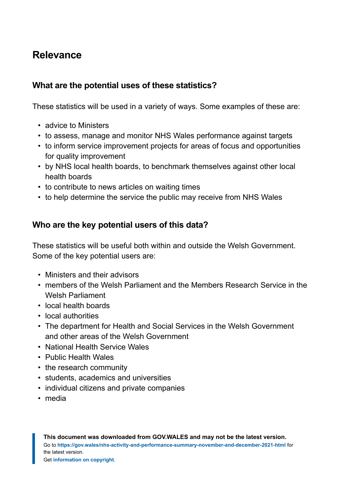# **Relevance**

#### **What are the potential uses of these statistics?**

These statistics will be used in a variety of ways. Some examples of these are:

- advice to Ministers
- to assess, manage and monitor NHS Wales performance against targets
- to inform service improvement projects for areas of focus and opportunities for quality improvement
- by NHS local health boards, to benchmark themselves against other local health boards
- to contribute to news articles on waiting times
- to help determine the service the public may receive from NHS Wales

#### **Who are the key potential users of this data?**

These statistics will be useful both within and outside the Welsh Government. Some of the key potential users are:

- Ministers and their advisors
- members of the Welsh Parliament and the Members Research Service in the Welsh Parliament
- local health boards
- local authorities
- The department for Health and Social Services in the Welsh Government and other areas of the Welsh Government
- National Health Service Wales
- Public Health Wales
- the research community
- students, academics and universities
- individual citizens and private companies
- media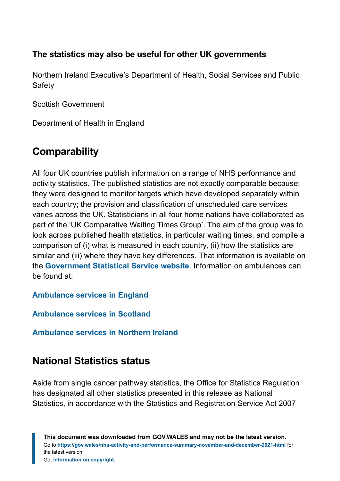#### **The statistics may also be useful for other UK governments**

Northern Ireland Executive's Department of Health, Social Services and Public **Safety** 

Scottish Government

Department of Health in England

# **Comparability**

All four UK countries publish information on a range of NHS performance and activity statistics. The published statistics are not exactly comparable because: they were designed to monitor targets which have developed separately within each country; the provision and classification of unscheduled care services varies across the UK. Statisticians in all four home nations have collaborated as part of the 'UK Comparative Waiting Times Group'. The aim of the group was to look across published health statistics, in particular waiting times, and compile a comparison of (i) what is measured in each country, (ii) how the statistics are similar and (iii) where they have key differences. That information is available on the **[Government Statistical Service website](https://gss.civilservice.gov.uk/health-waiting-time-statistics/)**. Information on ambulances can be found at:

**[Ambulance services in England](https://www.england.nhs.uk/statistics/statistical-work-areas/ambulance-quality-indicators/)**

**[Ambulance services in Scotland](http://www.scottishambulance.com/theservice/Default.aspx)**

**[Ambulance services in Northern Ireland](https://www.health-ni.gov.uk/articles/emergency-care-and-ambulance-statistics)**

# **National Statistics status**

Aside from single cancer pathway statistics, the Office for Statistics Regulation has designated all other statistics presented in this release as National Statistics, in accordance with the Statistics and Registration Service Act 2007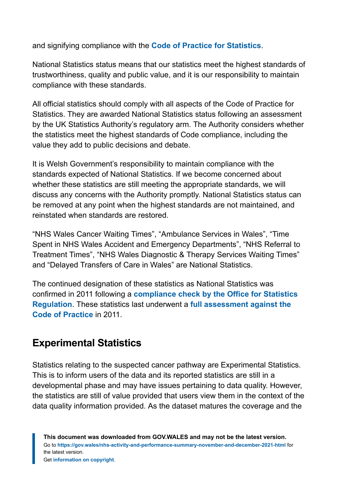and signifying compliance with the **[Code of Practice for Statistics](https://code.statisticsauthority.gov.uk/)**.

National Statistics status means that our statistics meet the highest standards of trustworthiness, quality and public value, and it is our responsibility to maintain compliance with these standards.

All official statistics should comply with all aspects of the Code of Practice for Statistics. They are awarded National Statistics status following an assessment by the UK Statistics Authority's regulatory arm. The Authority considers whether the statistics meet the highest standards of Code compliance, including the value they add to public decisions and debate.

It is Welsh Government's responsibility to maintain compliance with the standards expected of National Statistics. If we become concerned about whether these statistics are still meeting the appropriate standards, we will discuss any concerns with the Authority promptly. National Statistics status can be removed at any point when the highest standards are not maintained, and reinstated when standards are restored.

"NHS Wales Cancer Waiting Times", "Ambulance Services in Wales", "Time Spent in NHS Wales Accident and Emergency Departments", "NHS Referral to Treatment Times", "NHS Wales Diagnostic & Therapy Services Waiting Times" and "Delayed Transfers of Care in Wales" are National Statistics.

The continued designation of these statistics as National Statistics was confirmed in 2011 following a **[compliance check by the Office for Statistics](https://www.statisticsauthority.gov.uk/wp-content/uploads/2015/12/images-assessmentreport134statisticsonnhswalesperformanc_tcm97-41068.pdf) [Regulation](https://www.statisticsauthority.gov.uk/wp-content/uploads/2015/12/images-assessmentreport134statisticsonnhswalesperformanc_tcm97-41068.pdf)**. These statistics last underwent a **[full assessment against the](https://www.statisticsauthority.gov.uk/wp-content/uploads/2015/12/images-assessmentreport134statisticsonnhswalesperformanc_tcm97-41068.pdf) [Code of Practice](https://www.statisticsauthority.gov.uk/wp-content/uploads/2015/12/images-assessmentreport134statisticsonnhswalesperformanc_tcm97-41068.pdf)** in 2011.

### **Experimental Statistics**

Statistics relating to the suspected cancer pathway are Experimental Statistics. This is to inform users of the data and its reported statistics are still in a developmental phase and may have issues pertaining to data quality. However, the statistics are still of value provided that users view them in the context of the data quality information provided. As the dataset matures the coverage and the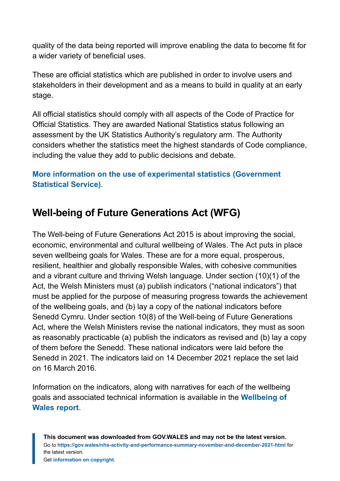quality of the data being reported will improve enabling the data to become fit for a wider variety of beneficial uses.

These are official statistics which are published in order to involve users and stakeholders in their development and as a means to build in quality at an early stage.

All official statistics should comply with all aspects of the Code of Practice for Official Statistics. They are awarded National Statistics status following an assessment by the UK Statistics Authority's regulatory arm. The Authority considers whether the statistics meet the highest standards of Code compliance, including the value they add to public decisions and debate.

#### **[More information on the use of experimental statistics \(Government](https://gss.civilservice.gov.uk/policy-store/guidance-on-experimental-statistics/) [Statistical Service\)](https://gss.civilservice.gov.uk/policy-store/guidance-on-experimental-statistics/)**.

# **Well-being of Future Generations Act (WFG)**

The Well-being of Future Generations Act 2015 is about improving the social, economic, environmental and cultural wellbeing of Wales. The Act puts in place seven wellbeing goals for Wales. These are for a more equal, prosperous, resilient, healthier and globally responsible Wales, with cohesive communities and a vibrant culture and thriving Welsh language. Under section (10)(1) of the Act, the Welsh Ministers must (a) publish indicators ("national indicators") that must be applied for the purpose of measuring progress towards the achievement of the wellbeing goals, and (b) lay a copy of the national indicators before Senedd Cymru. Under section 10(8) of the Well-being of Future Generations Act, where the Welsh Ministers revise the national indicators, they must as soon as reasonably practicable (a) publish the indicators as revised and (b) lay a copy of them before the Senedd. These national indicators were laid before the Senedd in 2021. The indicators laid on 14 December 2021 replace the set laid on 16 March 2016.

Information on the indicators, along with narratives for each of the wellbeing goals and associated technical information is available in the **[Wellbeing of](https://gov.wales/wellbeing-wales) [Wales report](https://gov.wales/wellbeing-wales)**.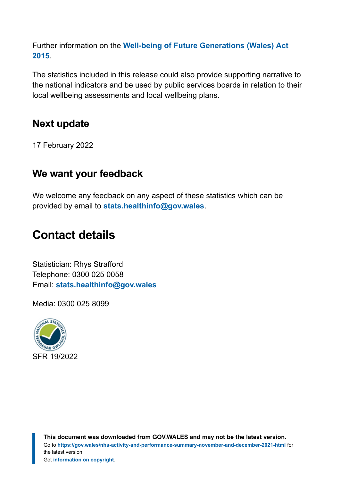Further information on the **[Well-being of Future Generations \(Wales\) Act](https://gov.wales/well-being-future-generations-wales-act-2015-guidance) [2015](https://gov.wales/well-being-future-generations-wales-act-2015-guidance)**.

The statistics included in this release could also provide supporting narrative to the national indicators and be used by public services boards in relation to their local wellbeing assessments and local wellbeing plans.

### **Next update**

17 February 2022

### **We want your feedback**

We welcome any feedback on any aspect of these statistics which can be provided by email to **[stats.healthinfo@gov.wales](mailto:stats.healthinfo@gov.wales)**.

# <span id="page-50-0"></span>**Contact details**

Statistician: Rhys Strafford Telephone: 0300 025 0058 Email: **[stats.healthinfo@gov.wales](mailto:stats.healthinfo@gov.wales)**

Media: 0300 025 8099